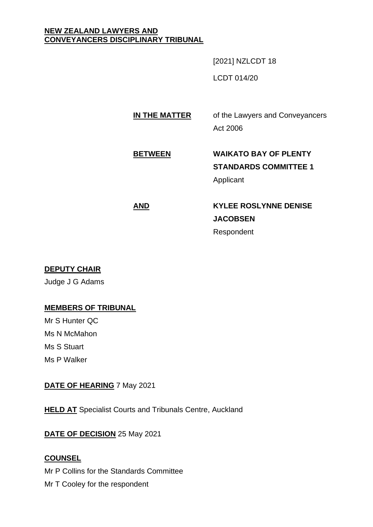### **NEW ZEALAND LAWYERS AND CONVEYANCERS DISCIPLINARY TRIBUNAL**

[2021] NZLCDT 18

LCDT 014/20

# **IN THE MATTER** of the Lawyers and Conveyancers Act 2006

# **BETWEEN WAIKATO BAY OF PLENTY STANDARDS COMMITTEE 1** Applicant

# **AND KYLEE ROSLYNNE DENISE JACOBSEN** Respondent

## **DEPUTY CHAIR**

Judge J G Adams

## **MEMBERS OF TRIBUNAL**

Mr S Hunter QC Ms N McMahon Ms S Stuart Ms P Walker

## **DATE OF HEARING** 7 May 2021

**HELD AT** Specialist Courts and Tribunals Centre, Auckland

**DATE OF DECISION** 25 May 2021

## **COUNSEL**

Mr P Collins for the Standards Committee Mr T Cooley for the respondent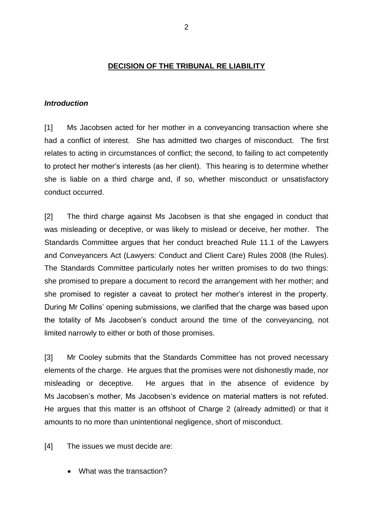#### **DECISION OF THE TRIBUNAL RE LIABILITY**

#### *Introduction*

[1] Ms Jacobsen acted for her mother in a conveyancing transaction where she had a conflict of interest. She has admitted two charges of misconduct. The first relates to acting in circumstances of conflict; the second, to failing to act competently to protect her mother's interests (as her client). This hearing is to determine whether she is liable on a third charge and, if so, whether misconduct or unsatisfactory conduct occurred.

[2] The third charge against Ms Jacobsen is that she engaged in conduct that was misleading or deceptive, or was likely to mislead or deceive, her mother. The Standards Committee argues that her conduct breached Rule 11.1 of the Lawyers and Conveyancers Act (Lawyers: Conduct and Client Care) Rules 2008 (the Rules). The Standards Committee particularly notes her written promises to do two things: she promised to prepare a document to record the arrangement with her mother; and she promised to register a caveat to protect her mother's interest in the property. During Mr Collins' opening submissions, we clarified that the charge was based upon the totality of Ms Jacobsen's conduct around the time of the conveyancing, not limited narrowly to either or both of those promises.

[3] Mr Cooley submits that the Standards Committee has not proved necessary elements of the charge. He argues that the promises were not dishonestly made, nor misleading or deceptive. He argues that in the absence of evidence by Ms Jacobsen's mother, Ms Jacobsen's evidence on material matters is not refuted. He argues that this matter is an offshoot of Charge 2 (already admitted) or that it amounts to no more than unintentional negligence, short of misconduct.

[4] The issues we must decide are:

• What was the transaction?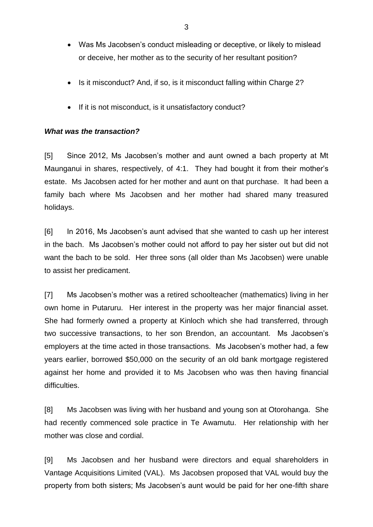- Was Ms Jacobsen's conduct misleading or deceptive, or likely to mislead or deceive, her mother as to the security of her resultant position?
- Is it misconduct? And, if so, is it misconduct falling within Charge 2?
- If it is not misconduct, is it unsatisfactory conduct?

## *What was the transaction?*

[5] Since 2012, Ms Jacobsen's mother and aunt owned a bach property at Mt Maunganui in shares, respectively, of 4:1. They had bought it from their mother's estate. Ms Jacobsen acted for her mother and aunt on that purchase. It had been a family bach where Ms Jacobsen and her mother had shared many treasured holidays.

[6] In 2016, Ms Jacobsen's aunt advised that she wanted to cash up her interest in the bach. Ms Jacobsen's mother could not afford to pay her sister out but did not want the bach to be sold. Her three sons (all older than Ms Jacobsen) were unable to assist her predicament.

[7] Ms Jacobsen's mother was a retired schoolteacher (mathematics) living in her own home in Putaruru. Her interest in the property was her major financial asset. She had formerly owned a property at Kinloch which she had transferred, through two successive transactions, to her son Brendon, an accountant. Ms Jacobsen's employers at the time acted in those transactions. Ms Jacobsen's mother had, a few years earlier, borrowed \$50,000 on the security of an old bank mortgage registered against her home and provided it to Ms Jacobsen who was then having financial difficulties.

[8] Ms Jacobsen was living with her husband and young son at Otorohanga. She had recently commenced sole practice in Te Awamutu. Her relationship with her mother was close and cordial.

[9] Ms Jacobsen and her husband were directors and equal shareholders in Vantage Acquisitions Limited (VAL). Ms Jacobsen proposed that VAL would buy the property from both sisters; Ms Jacobsen's aunt would be paid for her one-fifth share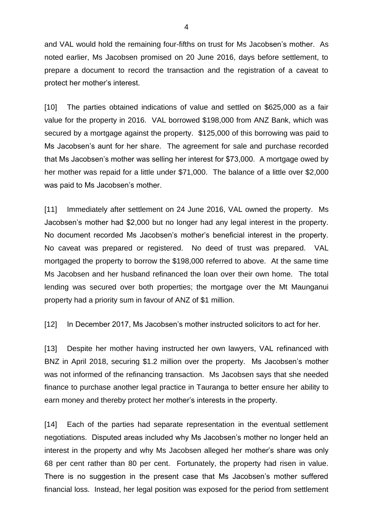and VAL would hold the remaining four-fifths on trust for Ms Jacobsen's mother. As noted earlier, Ms Jacobsen promised on 20 June 2016, days before settlement, to prepare a document to record the transaction and the registration of a caveat to protect her mother's interest.

[10] The parties obtained indications of value and settled on \$625,000 as a fair value for the property in 2016. VAL borrowed \$198,000 from ANZ Bank, which was secured by a mortgage against the property. \$125,000 of this borrowing was paid to Ms Jacobsen's aunt for her share. The agreement for sale and purchase recorded that Ms Jacobsen's mother was selling her interest for \$73,000. A mortgage owed by her mother was repaid for a little under \$71,000. The balance of a little over \$2,000 was paid to Ms Jacobsen's mother.

[11] Immediately after settlement on 24 June 2016, VAL owned the property. Ms Jacobsen's mother had \$2,000 but no longer had any legal interest in the property. No document recorded Ms Jacobsen's mother's beneficial interest in the property. No caveat was prepared or registered. No deed of trust was prepared. VAL mortgaged the property to borrow the \$198,000 referred to above. At the same time Ms Jacobsen and her husband refinanced the loan over their own home. The total lending was secured over both properties; the mortgage over the Mt Maunganui property had a priority sum in favour of ANZ of \$1 million.

[12] In December 2017, Ms Jacobsen's mother instructed solicitors to act for her.

[13] Despite her mother having instructed her own lawyers, VAL refinanced with BNZ in April 2018, securing \$1.2 million over the property. Ms Jacobsen's mother was not informed of the refinancing transaction. Ms Jacobsen says that she needed finance to purchase another legal practice in Tauranga to better ensure her ability to earn money and thereby protect her mother's interests in the property.

[14] Each of the parties had separate representation in the eventual settlement negotiations. Disputed areas included why Ms Jacobsen's mother no longer held an interest in the property and why Ms Jacobsen alleged her mother's share was only 68 per cent rather than 80 per cent. Fortunately, the property had risen in value. There is no suggestion in the present case that Ms Jacobsen's mother suffered financial loss. Instead, her legal position was exposed for the period from settlement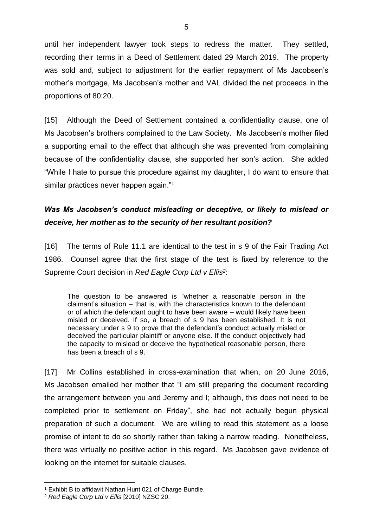until her independent lawyer took steps to redress the matter. They settled, recording their terms in a Deed of Settlement dated 29 March 2019. The property was sold and, subject to adjustment for the earlier repayment of Ms Jacobsen's mother's mortgage, Ms Jacobsen's mother and VAL divided the net proceeds in the proportions of 80:20.

[15] Although the Deed of Settlement contained a confidentiality clause, one of Ms Jacobsen's brothers complained to the Law Society. Ms Jacobsen's mother filed a supporting email to the effect that although she was prevented from complaining because of the confidentiality clause, she supported her son's action. She added "While I hate to pursue this procedure against my daughter, I do want to ensure that similar practices never happen again."<sup>1</sup>

# *Was Ms Jacobsen's conduct misleading or deceptive, or likely to mislead or deceive, her mother as to the security of her resultant position?*

[16] The terms of Rule 11.1 are identical to the test in s 9 of the Fair Trading Act 1986. Counsel agree that the first stage of the test is fixed by reference to the Supreme Court decision in *Red Eagle Corp Ltd v Ellis<sup>2</sup>* :

The question to be answered is "whether a reasonable person in the claimant's situation – that is, with the characteristics known to the defendant or of which the defendant ought to have been aware – would likely have been misled or deceived. If so, a breach of s 9 has been established. It is not necessary under s 9 to prove that the defendant's conduct actually misled or deceived the particular plaintiff or anyone else. If the conduct objectively had the capacity to mislead or deceive the hypothetical reasonable person, there has been a breach of s 9.

[17] Mr Collins established in cross-examination that when, on 20 June 2016, Ms Jacobsen emailed her mother that "I am still preparing the document recording the arrangement between you and Jeremy and I; although, this does not need to be completed prior to settlement on Friday", she had not actually begun physical preparation of such a document. We are willing to read this statement as a loose promise of intent to do so shortly rather than taking a narrow reading. Nonetheless, there was virtually no positive action in this regard. Ms Jacobsen gave evidence of looking on the internet for suitable clauses.

<sup>1</sup> Exhibit B to affidavit Nathan Hunt 021 of Charge Bundle.

<sup>2</sup> *Red Eagle Corp Ltd v Ellis* [2010] NZSC 20.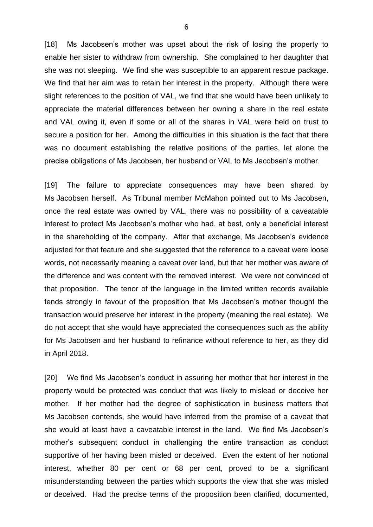[18] Ms Jacobsen's mother was upset about the risk of losing the property to enable her sister to withdraw from ownership. She complained to her daughter that she was not sleeping. We find she was susceptible to an apparent rescue package. We find that her aim was to retain her interest in the property. Although there were slight references to the position of VAL, we find that she would have been unlikely to appreciate the material differences between her owning a share in the real estate and VAL owing it, even if some or all of the shares in VAL were held on trust to secure a position for her. Among the difficulties in this situation is the fact that there was no document establishing the relative positions of the parties, let alone the precise obligations of Ms Jacobsen, her husband or VAL to Ms Jacobsen's mother.

[19] The failure to appreciate consequences may have been shared by Ms Jacobsen herself. As Tribunal member McMahon pointed out to Ms Jacobsen, once the real estate was owned by VAL, there was no possibility of a caveatable interest to protect Ms Jacobsen's mother who had, at best, only a beneficial interest in the shareholding of the company. After that exchange, Ms Jacobsen's evidence adjusted for that feature and she suggested that the reference to a caveat were loose words, not necessarily meaning a caveat over land, but that her mother was aware of the difference and was content with the removed interest. We were not convinced of that proposition. The tenor of the language in the limited written records available tends strongly in favour of the proposition that Ms Jacobsen's mother thought the transaction would preserve her interest in the property (meaning the real estate). We do not accept that she would have appreciated the consequences such as the ability for Ms Jacobsen and her husband to refinance without reference to her, as they did in April 2018.

[20] We find Ms Jacobsen's conduct in assuring her mother that her interest in the property would be protected was conduct that was likely to mislead or deceive her mother. If her mother had the degree of sophistication in business matters that Ms Jacobsen contends, she would have inferred from the promise of a caveat that she would at least have a caveatable interest in the land. We find Ms Jacobsen's mother's subsequent conduct in challenging the entire transaction as conduct supportive of her having been misled or deceived. Even the extent of her notional interest, whether 80 per cent or 68 per cent, proved to be a significant misunderstanding between the parties which supports the view that she was misled or deceived. Had the precise terms of the proposition been clarified, documented,

6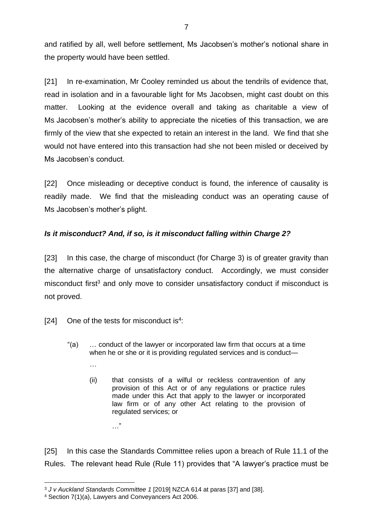and ratified by all, well before settlement, Ms Jacobsen's mother's notional share in the property would have been settled.

[21] In re-examination, Mr Cooley reminded us about the tendrils of evidence that, read in isolation and in a favourable light for Ms Jacobsen, might cast doubt on this matter. Looking at the evidence overall and taking as charitable a view of Ms Jacobsen's mother's ability to appreciate the niceties of this transaction, we are firmly of the view that she expected to retain an interest in the land. We find that she would not have entered into this transaction had she not been misled or deceived by Ms Jacobsen's conduct.

[22] Once misleading or deceptive conduct is found, the inference of causality is readily made. We find that the misleading conduct was an operating cause of Ms Jacobsen's mother's plight.

## *Is it misconduct? And, if so, is it misconduct falling within Charge 2?*

[23] In this case, the charge of misconduct (for Charge 3) is of greater gravity than the alternative charge of unsatisfactory conduct. Accordingly, we must consider misconduct first<sup>3</sup> and only move to consider unsatisfactory conduct if misconduct is not proved.

[24] One of the tests for misconduct is<sup>4</sup>:

*…*

- "(a) … conduct of the lawyer or incorporated law firm that occurs at a time when he or she or it is providing regulated services and is conduct—
	- (ii) that consists of a wilful or reckless contravention of any provision of this Act or of any regulations or practice rules made under this Act that apply to the lawyer or incorporated law firm or of any other Act relating to the provision of regulated services; or

[25] In this case the Standards Committee relies upon a breach of Rule 11.1 of the Rules. The relevant head Rule (Rule 11) provides that "A lawyer's practice must be

…"

<sup>3</sup> *J v Auckland Standards Committee 1* [2019] NZCA 614 at paras [37] and [38].

<sup>4</sup> Section 7(1)(a), Lawyers and Conveyancers Act 2006.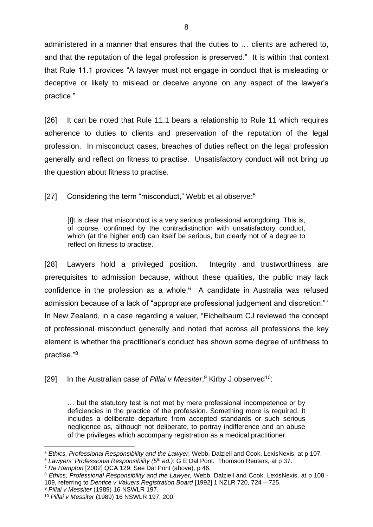administered in a manner that ensures that the duties to … clients are adhered to, and that the reputation of the legal profession is preserved." It is within that context that Rule 11.1 provides "A lawyer must not engage in conduct that is misleading or deceptive or likely to mislead or deceive anyone on any aspect of the lawyer's practice."

[26] It can be noted that Rule 11.1 bears a relationship to Rule 11 which requires adherence to duties to clients and preservation of the reputation of the legal profession. In misconduct cases, breaches of duties reflect on the legal profession generally and reflect on fitness to practise. Unsatisfactory conduct will not bring up the question about fitness to practise.

[27] Considering the term "misconduct," Webb et al observe:<sup>5</sup>

[I]t is clear that misconduct is a very serious professional wrongdoing. This is, of course, confirmed by the contradistinction with unsatisfactory conduct, which (at the higher end) can itself be serious, but clearly not of a degree to reflect on fitness to practise.

[28] Lawyers hold a privileged position. Integrity and trustworthiness are prerequisites to admission because, without these qualities, the public may lack confidence in the profession as a whole. $6$  A candidate in Australia was refused admission because of a lack of "appropriate professional judgement and discretion."7 In New Zealand, in a case regarding a valuer, "Eichelbaum CJ reviewed the concept of professional misconduct generally and noted that across all professions the key element is whether the practitioner's conduct has shown some degree of unfitness to practise."<sup>8</sup>

[29] In the Australian case of Pillai v Messiter,<sup>9</sup> Kirby J observed<sup>10</sup>:

… but the statutory test is not met by mere professional incompetence or by deficiencies in the practice of the profession. Something more is required. It includes a deliberate departure from accepted standards or such serious negligence as, although not deliberate, to portray indifference and an abuse of the privileges which accompany registration as a medical practitioner.

<sup>5</sup> *Ethics, Professional Responsibility and the Lawyer,* Webb, Dalziell and Cook, LexisNexis, at p 107.

<sup>6</sup> *Lawyers' Professional Responsibility (5th ed.)*: G E Dal Pont. Thomson Reuters, at p 37.

<sup>7</sup> *Re Hampton* [2002] QCA 129; See Dal Pont (above), p 46.

<sup>8</sup> *Ethics, Professional Responsibility and the Lawyer,* Webb, Dalziell and Cook, LexisNexis, at p 108 - 109, referring to *Dentice v Valuers Registration Board* [1992] 1 NZLR 720, 724 – 725.

<sup>9</sup> *Pillai v Messiter* (1989) 16 NSWLR 197.

<sup>10</sup> *Pillai v Messiter* (1989) 16 NSWLR 197, 200.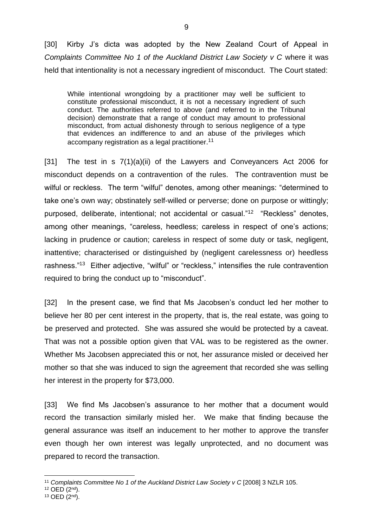[30] Kirby J's dicta was adopted by the New Zealand Court of Appeal in *Complaints Committee No 1 of the Auckland District Law Society v C where it was* held that intentionality is not a necessary ingredient of misconduct. The Court stated:

While intentional wrongdoing by a practitioner may well be sufficient to constitute professional misconduct, it is not a necessary ingredient of such conduct. The authorities referred to above (and referred to in the Tribunal decision) demonstrate that a range of conduct may amount to professional misconduct, from actual dishonesty through to serious negligence of a type that evidences an indifference to and an abuse of the privileges which accompany registration as a legal practitioner. 11

[31] The test in s 7(1)(a)(ii) of the Lawyers and Conveyancers Act 2006 for misconduct depends on a contravention of the rules. The contravention must be wilful or reckless. The term "wilful" denotes, among other meanings: "determined to take one's own way; obstinately self-willed or perverse; done on purpose or wittingly; purposed, deliberate, intentional; not accidental or casual."<sup>12</sup> "Reckless" denotes, among other meanings, "careless, heedless; careless in respect of one's actions; lacking in prudence or caution; careless in respect of some duty or task, negligent, inattentive; characterised or distinguished by (negligent carelessness or) heedless rashness."<sup>13</sup> Either adjective, "wilful" or "reckless," intensifies the rule contravention required to bring the conduct up to "misconduct".

[32] In the present case, we find that Ms Jacobsen's conduct led her mother to believe her 80 per cent interest in the property, that is, the real estate, was going to be preserved and protected. She was assured she would be protected by a caveat. That was not a possible option given that VAL was to be registered as the owner. Whether Ms Jacobsen appreciated this or not, her assurance misled or deceived her mother so that she was induced to sign the agreement that recorded she was selling her interest in the property for \$73,000.

[33] We find Ms Jacobsen's assurance to her mother that a document would record the transaction similarly misled her. We make that finding because the general assurance was itself an inducement to her mother to approve the transfer even though her own interest was legally unprotected, and no document was prepared to record the transaction.

- $12$  OED  $(2<sup>nd</sup>)$ .
- $13$  OED  $(2<sup>nd</sup>)$ .

<sup>11</sup> *Complaints Committee No 1 of the Auckland District Law Society v C* [2008] 3 NZLR 105.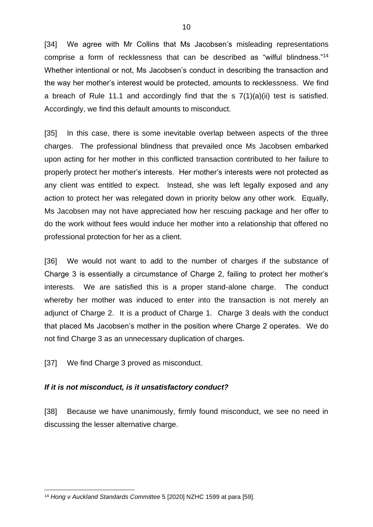[34] We agree with Mr Collins that Ms Jacobsen's misleading representations comprise a form of recklessness that can be described as "wilful blindness."<sup>14</sup> Whether intentional or not, Ms Jacobsen's conduct in describing the transaction and the way her mother's interest would be protected, amounts to recklessness. We find a breach of Rule 11.1 and accordingly find that the s 7(1)(a)(ii) test is satisfied. Accordingly, we find this default amounts to misconduct.

[35] In this case, there is some inevitable overlap between aspects of the three charges. The professional blindness that prevailed once Ms Jacobsen embarked upon acting for her mother in this conflicted transaction contributed to her failure to properly protect her mother's interests. Her mother's interests were not protected as any client was entitled to expect. Instead, she was left legally exposed and any action to protect her was relegated down in priority below any other work. Equally, Ms Jacobsen may not have appreciated how her rescuing package and her offer to do the work without fees would induce her mother into a relationship that offered no professional protection for her as a client.

[36] We would not want to add to the number of charges if the substance of Charge 3 is essentially a circumstance of Charge 2, failing to protect her mother's interests. We are satisfied this is a proper stand-alone charge. The conduct whereby her mother was induced to enter into the transaction is not merely an adjunct of Charge 2. It is a product of Charge 1. Charge 3 deals with the conduct that placed Ms Jacobsen's mother in the position where Charge 2 operates. We do not find Charge 3 as an unnecessary duplication of charges.

[37] We find Charge 3 proved as misconduct.

### *If it is not misconduct, is it unsatisfactory conduct?*

[38] Because we have unanimously, firmly found misconduct, we see no need in discussing the lesser alternative charge.

<sup>14</sup> *Hong v Auckland Standards Committee* 5 [2020] NZHC 1599 at para [59].